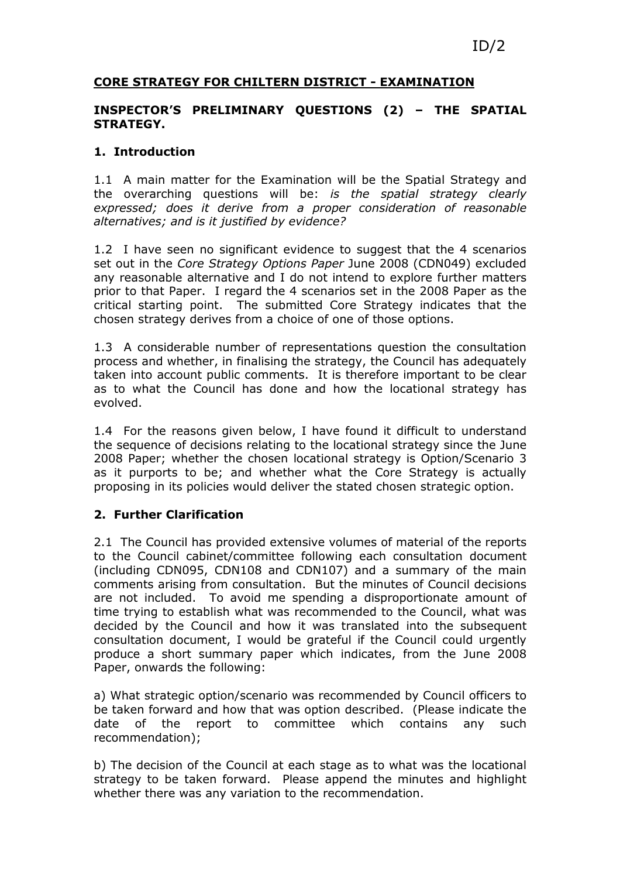## CORE STRATEGY FOR CHILTERN DISTRICT - EXAMINATION

### INSPECTOR'S PRELIMINARY QUESTIONS (2) – THE SPATIAL STRATEGY.

### 1. Introduction

1.1 A main matter for the Examination will be the Spatial Strategy and the overarching questions will be: is the spatial strategy clearly expressed; does it derive from a proper consideration of reasonable alternatives; and is it justified by evidence?

1.2 I have seen no significant evidence to suggest that the 4 scenarios set out in the Core Strategy Options Paper June 2008 (CDN049) excluded any reasonable alternative and I do not intend to explore further matters prior to that Paper. I regard the 4 scenarios set in the 2008 Paper as the critical starting point. The submitted Core Strategy indicates that the chosen strategy derives from a choice of one of those options.

1.3 A considerable number of representations question the consultation process and whether, in finalising the strategy, the Council has adequately taken into account public comments. It is therefore important to be clear as to what the Council has done and how the locational strategy has evolved.

1.4 For the reasons given below, I have found it difficult to understand the sequence of decisions relating to the locational strategy since the June 2008 Paper; whether the chosen locational strategy is Option/Scenario 3 as it purports to be; and whether what the Core Strategy is actually proposing in its policies would deliver the stated chosen strategic option.

#### 2. Further Clarification

2.1 The Council has provided extensive volumes of material of the reports to the Council cabinet/committee following each consultation document (including CDN095, CDN108 and CDN107) and a summary of the main comments arising from consultation. But the minutes of Council decisions are not included. To avoid me spending a disproportionate amount of time trying to establish what was recommended to the Council, what was decided by the Council and how it was translated into the subsequent consultation document, I would be grateful if the Council could urgently produce a short summary paper which indicates, from the June 2008 Paper, onwards the following:

a) What strategic option/scenario was recommended by Council officers to be taken forward and how that was option described. (Please indicate the date of the report to committee which contains any such recommendation);

b) The decision of the Council at each stage as to what was the locational strategy to be taken forward. Please append the minutes and highlight whether there was any variation to the recommendation.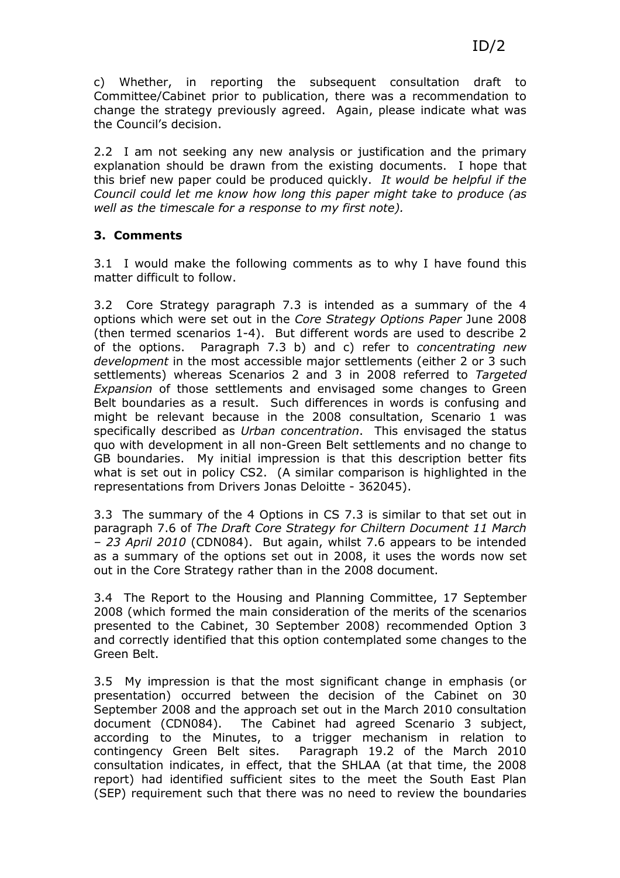c) Whether, in reporting the subsequent consultation draft to Committee/Cabinet prior to publication, there was a recommendation to change the strategy previously agreed. Again, please indicate what was the Council's decision.

2.2 I am not seeking any new analysis or justification and the primary explanation should be drawn from the existing documents. I hope that this brief new paper could be produced quickly. It would be helpful if the Council could let me know how long this paper might take to produce (as well as the timescale for a response to my first note).

# 3. Comments

3.1 I would make the following comments as to why I have found this matter difficult to follow.

3.2 Core Strategy paragraph 7.3 is intended as a summary of the 4 options which were set out in the Core Strategy Options Paper June 2008 (then termed scenarios 1-4). But different words are used to describe 2 of the options. Paragraph 7.3 b) and c) refer to concentrating new development in the most accessible major settlements (either 2 or 3 such settlements) whereas Scenarios 2 and 3 in 2008 referred to Targeted Expansion of those settlements and envisaged some changes to Green Belt boundaries as a result. Such differences in words is confusing and might be relevant because in the 2008 consultation, Scenario 1 was specifically described as Urban concentration. This envisaged the status quo with development in all non-Green Belt settlements and no change to GB boundaries. My initial impression is that this description better fits what is set out in policy CS2. (A similar comparison is highlighted in the representations from Drivers Jonas Deloitte - 362045).

3.3 The summary of the 4 Options in CS 7.3 is similar to that set out in paragraph 7.6 of The Draft Core Strategy for Chiltern Document 11 March – 23 April 2010 (CDN084). But again, whilst 7.6 appears to be intended as a summary of the options set out in 2008, it uses the words now set out in the Core Strategy rather than in the 2008 document.

3.4 The Report to the Housing and Planning Committee, 17 September 2008 (which formed the main consideration of the merits of the scenarios presented to the Cabinet, 30 September 2008) recommended Option 3 and correctly identified that this option contemplated some changes to the Green Belt.

3.5 My impression is that the most significant change in emphasis (or presentation) occurred between the decision of the Cabinet on 30 September 2008 and the approach set out in the March 2010 consultation document (CDN084). The Cabinet had agreed Scenario 3 subject, according to the Minutes, to a trigger mechanism in relation to contingency Green Belt sites. Paragraph 19.2 of the March 2010 consultation indicates, in effect, that the SHLAA (at that time, the 2008 report) had identified sufficient sites to the meet the South East Plan (SEP) requirement such that there was no need to review the boundaries